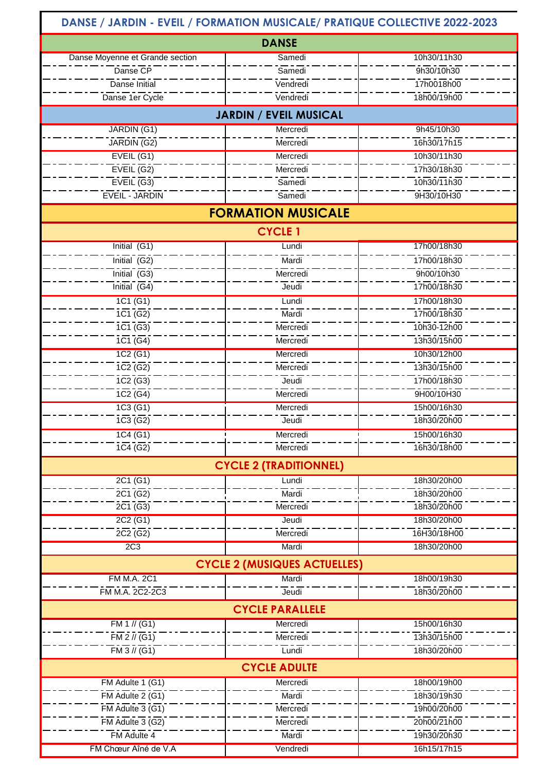## **DANSE / JARDIN - EVEIL / FORMATION MUSICALE/ PRATIQUE COLLECTIVE 2022-2023**

| <b>DANSE</b>                                                       |                   |             |  |
|--------------------------------------------------------------------|-------------------|-------------|--|
| Danse Moyenne et Grande section                                    | Samedi            | 10h30/11h30 |  |
| Danse CP                                                           | Samedi            | 9h30/10h30  |  |
| Danse Initial                                                      | Vendredi          | 17h0018h00  |  |
| Danse 1er Cycle                                                    | Vendredi          | 18h00/19h00 |  |
| <b>JARDIN / EVEIL MUSICAL</b>                                      |                   |             |  |
| JARDIN (G1)                                                        | Mercredi          | 9h45/10h30  |  |
| JARDIN (G2)                                                        | Mercredi          | 16h30/17h15 |  |
| EVEIL (G1)                                                         | Mercredi          | 10h30/11h30 |  |
| EVEIL(G2)                                                          | Mercredi          | 17h30/18h30 |  |
| $EVEIL$ <sup>(G3)</sup>                                            | Samedi            | 10h30/11h30 |  |
| EVEIL - JARDIN                                                     | Samedi            | 9H30/10H30  |  |
| <b>FORMATION MUSICALE</b>                                          |                   |             |  |
| <b>CYCLE 1</b>                                                     |                   |             |  |
| Initial (G1)                                                       | Lundi             | 17h00/18h30 |  |
| Initial $\overline{(G2)}$                                          | Mardi             | 17h00/18h30 |  |
| Initial $\overline{(G3)}$                                          | Mercredi          | 9h00/10h30  |  |
| Initial $\overline{(G4)}$                                          | Jeudi             | 17h00/18h30 |  |
| 1C1(G1)                                                            | Lundi             | 17h00/18h30 |  |
| 1C1(62)                                                            | Mardi             | 17h00/18h30 |  |
| $1C1($ G3)                                                         | Mercredi          | 10h30-12h00 |  |
| 1C1(64)                                                            | Mercredi          | 13h30/15h00 |  |
| 1C2(G1)                                                            | Mercredi          | 10h30/12h00 |  |
| 1C2(62)                                                            | Mercredi          | 13h30/15h00 |  |
| 1C2(63)                                                            | Jeudi             | 17h00/18h30 |  |
| 1C2(64)                                                            | Mercredi          | 9H00/10H30  |  |
| 1C3(G1)                                                            | Mercredi          | 15h00/16h30 |  |
| 1C3(62)                                                            | Jeudi             | 18h30/20h00 |  |
| 1C4(G1)                                                            | Mercredi          | 15h00/16h30 |  |
| 1C4 (G2)                                                           | Mercredi          | 16h30/18h00 |  |
| <b>CYCLE 2 (TRADITIONNEL)</b>                                      |                   |             |  |
| 2C1 (G1)                                                           | Lundi             | 18h30/20h00 |  |
| $2\overline{C1}$ (G2)                                              | Mardi             | 18h30/20h00 |  |
| 2C1(63)                                                            | Mercredi          | 18h30/20h00 |  |
| 2C2 (G1)                                                           | Jeudi             | 18h30/20h00 |  |
| 2C2(62)                                                            | Mercredi          | 16H30/18H00 |  |
| 2C <sub>3</sub>                                                    | Mardi             | 18h30/20h00 |  |
| <b>CYCLE 2 (MUSIQUES ACTUELLES)</b>                                |                   |             |  |
| <b>FM M.A. 2C1</b>                                                 | Mardi             | 18h00/19h30 |  |
| FM M.A. 2C2-2C3                                                    | Jeudi             | 18h30/20h00 |  |
| <b>CYCLE PARALLELE</b>                                             |                   |             |  |
| FM 1 // (G1)                                                       | Mercredi          | 15h00/16h30 |  |
| $FM2$ // $(G1)$                                                    | Mercredi          | 13h30/15h00 |  |
| $FM3$ // $\overline{(G1)}$                                         | Lundi             | 18h30/20h00 |  |
| <b>CYCLE ADULTE</b><br>FM Adulte 1 (G1)<br>18h00/19h00<br>Mercredi |                   |             |  |
| $FM$ Adulte 2 $(G1)$                                               | Mardi             | 18h30/19h30 |  |
| FM Adulte $3(61)$                                                  | Mercredi          | 19h00/20h00 |  |
| $\overline{FM}$ Adulte 3 (G2)                                      |                   | 20h00/21h00 |  |
| FM Adulte 4                                                        | Mercredi<br>Mardi | 19h30/20h30 |  |
| FM Chœur Aîné de V.A                                               | Vendredi          | 16h15/17h15 |  |
|                                                                    |                   |             |  |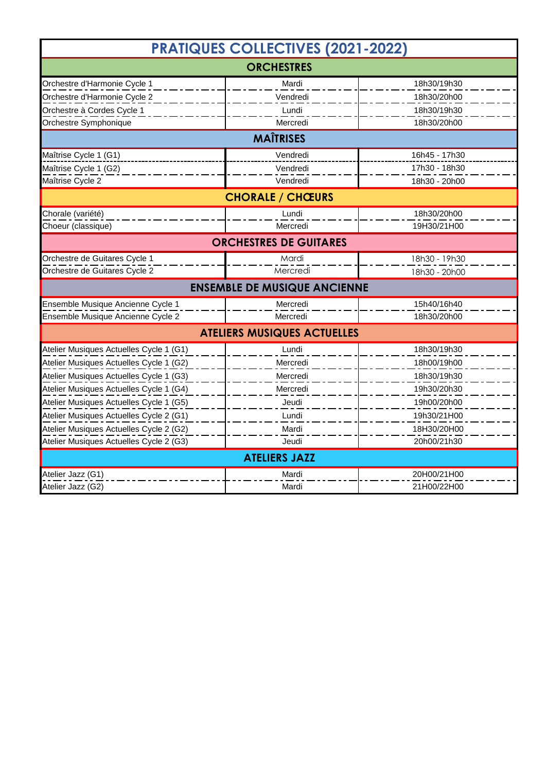| <b>PRATIQUES COLLECTIVES (2021-2022)</b> |          |               |  |
|------------------------------------------|----------|---------------|--|
| <b>ORCHESTRES</b>                        |          |               |  |
| Orchestre d'Harmonie Cycle 1             | Mardi    | 18h30/19h30   |  |
| Orchestre d'Harmonie Cycle 2             | Vendredi | 18h30/20h00   |  |
| Orchestre à Cordes Cycle 1               | Lundi    | 18h30/19h30   |  |
| Orchestre Symphonique                    | Mercredi | 18h30/20h00   |  |
| <b>MAÎTRISES</b>                         |          |               |  |
| Maîtrise Cycle 1 (G1)                    | Vendredi | 16h45 - 17h30 |  |
| Maîtrise Cycle 1 (G2)                    | Vendredi | 17h30 - 18h30 |  |
| Maîtrise Cycle 2                         | Vendredi | 18h30 - 20h00 |  |
| <b>CHORALE / CHŒURS</b>                  |          |               |  |
| Chorale (variété)                        | Lundi    | 18h30/20h00   |  |
| Choeur (classique)                       | Mercredi | 19H30/21H00   |  |
| <b>ORCHESTRES DE GUITARES</b>            |          |               |  |
| Orchestre de Guitares Cycle 1            | Mardi    | 18h30 - 19h30 |  |
| Orchestre de Guitares Cycle 2            | Mercredi | 18h30 - 20h00 |  |
| <b>ENSEMBLE DE MUSIQUE ANCIENNE</b>      |          |               |  |
| Ensemble Musique Ancienne Cycle 1        | Mercredi | 15h40/16h40   |  |
| Ensemble Musique Ancienne Cycle 2        | Mercredi | 18h30/20h00   |  |
| <b>ATELIERS MUSIQUES ACTUELLES</b>       |          |               |  |
| Atelier Musiques Actuelles Cycle 1 (G1)  | Lundi    | 18h30/19h30   |  |
| Atelier Musiques Actuelles Cycle 1 (G2)  | Mercredi | 18h00/19h00   |  |
| Atelier Musiques Actuelles Cycle 1 (G3)  | Mercredi | 18h30/19h30   |  |
| Atelier Musiques Actuelles Cycle 1 (G4)  | Mercredi | 19h30/20h30   |  |
| Atelier Musiques Actuelles Cycle 1 (G5)  | Jeudi    | 19h00/20h00   |  |
| Atelier Musiques Actuelles Cycle 2 (G1)  | Lundi    | 19h30/21H00   |  |
| Atelier Musiques Actuelles Cycle 2 (G2)  | Mardi    | 18H30/20H00   |  |
| Atelier Musiques Actuelles Cycle 2 (G3)  | Jeudi    | 20h00/21h30   |  |
| <b>ATELIERS JAZZ</b>                     |          |               |  |
| Atelier Jazz (G1)                        | Mardi    | 20H00/21H00   |  |
| Atelier Jazz (G2)                        | Mardi    | 21H00/22H00   |  |